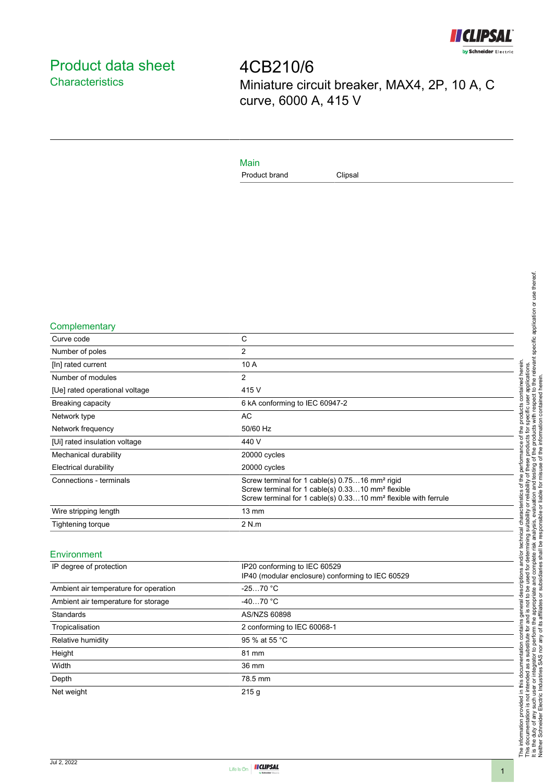

# <span id="page-0-0"></span>Product data sheet **Characteristics**

4CB210/6 Miniature circuit breaker, MAX4, 2P, 10 A, C curve, 6000 A, 415 V

### Main

Product brand Clipsal

#### **Complementary**

| Curve code                     | C                                                                                                                                                                                                         |
|--------------------------------|-----------------------------------------------------------------------------------------------------------------------------------------------------------------------------------------------------------|
| Number of poles                | 2                                                                                                                                                                                                         |
| [In] rated current             | 10 A                                                                                                                                                                                                      |
| Number of modules              | 2                                                                                                                                                                                                         |
| [Ue] rated operational voltage | 415 V                                                                                                                                                                                                     |
| <b>Breaking capacity</b>       | 6 kA conforming to IEC 60947-2                                                                                                                                                                            |
| Network type                   | AC                                                                                                                                                                                                        |
| Network frequency              | 50/60 Hz                                                                                                                                                                                                  |
| [Ui] rated insulation voltage  | 440 V                                                                                                                                                                                                     |
| Mechanical durability          | 20000 cycles                                                                                                                                                                                              |
| Electrical durability          | 20000 cycles                                                                                                                                                                                              |
| Connections - terminals        | Screw terminal for 1 cable(s) 0.7516 mm <sup>2</sup> rigid<br>Screw terminal for 1 cable(s) 0.3310 mm <sup>2</sup> flexible<br>Screw terminal for 1 cable(s) 0.3310 mm <sup>2</sup> flexible with ferrule |
| Wire stripping length          | $13 \text{ mm}$                                                                                                                                                                                           |
| Tightening torque              | 2 N.m                                                                                                                                                                                                     |

#### Environment

| IP20 conforming to IEC 60529<br>IP40 (modular enclosure) conforming to IEC 60529 |
|----------------------------------------------------------------------------------|
| $-2570 °C$                                                                       |
| $-4070 °C$                                                                       |
| AS/NZS 60898                                                                     |
| 2 conforming to IEC 60068-1                                                      |
| 95 % at 55 °C                                                                    |
| 81 mm                                                                            |
| 36 mm                                                                            |
| 78.5 mm                                                                          |
| 215g                                                                             |
|                                                                                  |